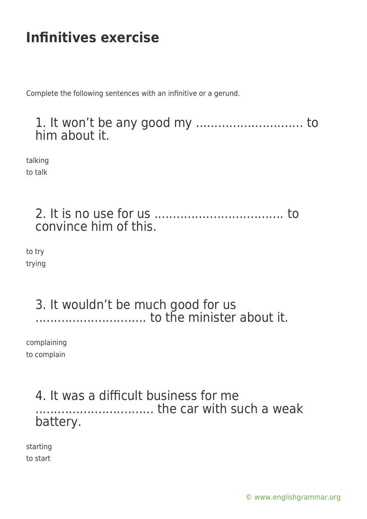# **Infinitives exercise**

Complete the following sentences with an infinitive or a gerund.

### 1. It won't be any good my ............................. to him about it.

talking to talk

> 2. It is no use for us ................................... to convince him of this.

to try trying

### 3. It wouldn't be much good for us .............................. to the minister about it.

complaining to complain

# 4. It was a difficult business for me ................................ the car with such a weak battery.

starting to start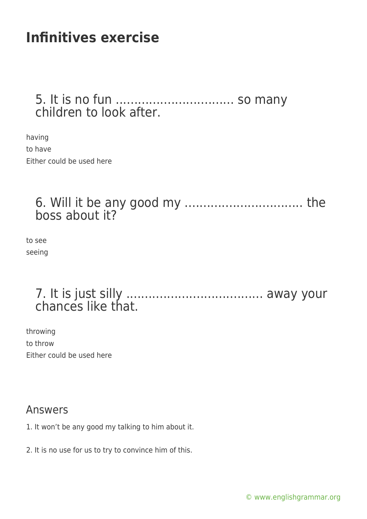# **Infinitives exercise**

#### 5. It is no fun ................................ so many children to look after.

having to have Either could be used here

### 6. Will it be any good my ................................ the boss about it?

to see seeing

# 7. It is just silly ..................................... away your chances like that.

throwing to throw Either could be used here

#### Answers

- 1. It won't be any good my talking to him about it.
- 2. It is no use for us to try to convince him of this.